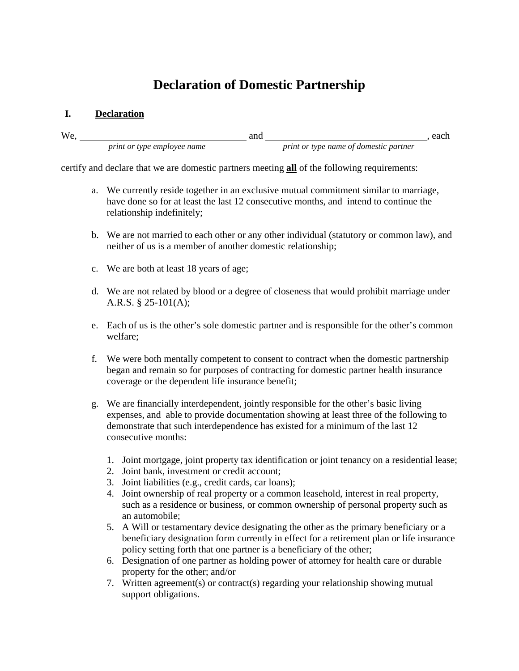# **Declaration of Domestic Partnership**

#### **I. Declaration**

| <b>We</b> |                                    |  |                                               | each |
|-----------|------------------------------------|--|-----------------------------------------------|------|
|           | <i>print or type employee name</i> |  | <i>print or type name of domestic partner</i> |      |

certify and declare that we are domestic partners meeting **all** of the following requirements:

- a. We currently reside together in an exclusive mutual commitment similar to marriage, have done so for at least the last 12 consecutive months, and intend to continue the relationship indefinitely;
- b. We are not married to each other or any other individual (statutory or common law), and neither of us is a member of another domestic relationship;
- c. We are both at least 18 years of age;
- d. We are not related by blood or a degree of closeness that would prohibit marriage under A.R.S. § 25-101(A);
- e. Each of us is the other's sole domestic partner and is responsible for the other's common welfare;
- f. We were both mentally competent to consent to contract when the domestic partnership began and remain so for purposes of contracting for domestic partner health insurance coverage or the dependent life insurance benefit;
- g. We are financially interdependent, jointly responsible for the other's basic living expenses, and able to provide documentation showing at least three of the following to demonstrate that such interdependence has existed for a minimum of the last 12 consecutive months:
	- 1. Joint mortgage, joint property tax identification or joint tenancy on a residential lease;
	- 2. Joint bank, investment or credit account;
	- 3. Joint liabilities (e.g., credit cards, car loans);
	- 4. Joint ownership of real property or a common leasehold, interest in real property, such as a residence or business, or common ownership of personal property such as an automobile;
	- 5. A Will or testamentary device designating the other as the primary beneficiary or a beneficiary designation form currently in effect for a retirement plan or life insurance policy setting forth that one partner is a beneficiary of the other;
	- 6. Designation of one partner as holding power of attorney for health care or durable property for the other; and/or
	- 7. Written agreement(s) or contract(s) regarding your relationship showing mutual support obligations.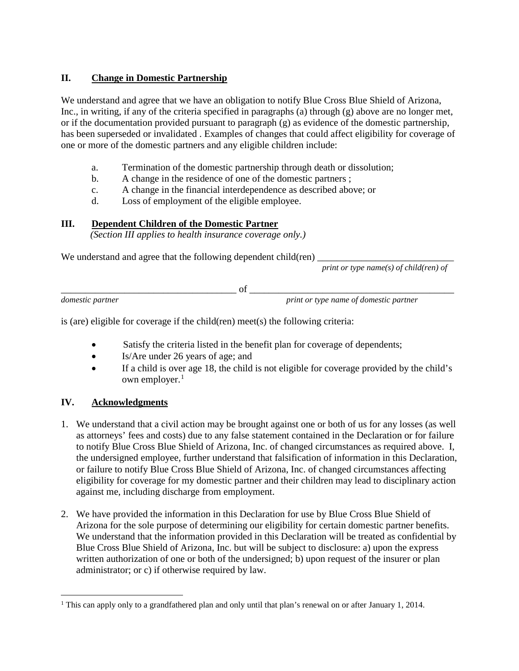## **II. Change in Domestic Partnership**

We understand and agree that we have an obligation to notify Blue Cross Blue Shield of Arizona, Inc., in writing, if any of the criteria specified in paragraphs (a) through (g) above are no longer met, or if the documentation provided pursuant to paragraph (g) as evidence of the domestic partnership, has been superseded or invalidated . Examples of changes that could affect eligibility for coverage of one or more of the domestic partners and any eligible children include:

- a. Termination of the domestic partnership through death or dissolution;
- b. A change in the residence of one of the domestic partners ;
- c. A change in the financial interdependence as described above; or
- d. Loss of employment of the eligible employee.

## **III. Dependent Children of the Domestic Partner**

 *(Section III applies to health insurance coverage only.)*

We understand and agree that the following dependent child(ren)

*print or type name(s) of child(ren) of* 

\_\_\_\_\_\_\_\_\_\_\_\_\_\_\_\_\_\_\_\_\_\_\_\_\_\_\_\_\_\_\_\_\_\_\_\_ of \_\_\_\_\_\_\_\_\_\_\_\_\_\_\_\_\_\_\_\_\_\_\_\_\_\_\_\_\_\_\_\_\_\_\_\_\_\_\_\_\_\_

*domestic partner print or type name of domestic partner*

is (are) eligible for coverage if the child(ren) meet(s) the following criteria:

- Satisfy the criteria listed in the benefit plan for coverage of dependents;
- Is/Are under 26 years of age; and
- If a child is over age 18, the child is not eligible for coverage provided by the child's own employer. $<sup>1</sup>$  $<sup>1</sup>$  $<sup>1</sup>$ </sup>

### **IV. Acknowledgments**

- 1. We understand that a civil action may be brought against one or both of us for any losses (as well as attorneys' fees and costs) due to any false statement contained in the Declaration or for failure to notify Blue Cross Blue Shield of Arizona, Inc. of changed circumstances as required above. I, the undersigned employee, further understand that falsification of information in this Declaration, or failure to notify Blue Cross Blue Shield of Arizona, Inc. of changed circumstances affecting eligibility for coverage for my domestic partner and their children may lead to disciplinary action against me, including discharge from employment.
- 2. We have provided the information in this Declaration for use by Blue Cross Blue Shield of Arizona for the sole purpose of determining our eligibility for certain domestic partner benefits. We understand that the information provided in this Declaration will be treated as confidential by Blue Cross Blue Shield of Arizona, Inc. but will be subject to disclosure: a) upon the express written authorization of one or both of the undersigned; b) upon request of the insurer or plan administrator; or c) if otherwise required by law.

<span id="page-1-0"></span><sup>&</sup>lt;sup>1</sup> This can apply only to a grandfathered plan and only until that plan's renewal on or after January 1, 2014.